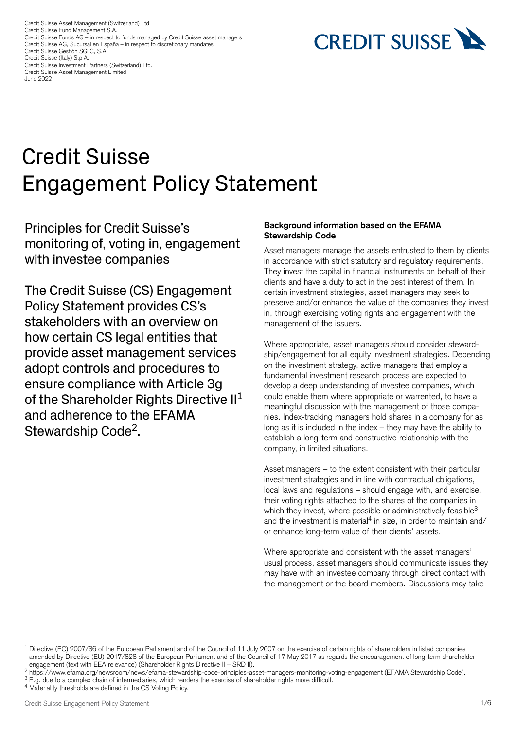Credit Suisse Asset Management (Switzerland) Ltd. Credit Suisse Fund Management S.A. Credit Suisse Funds AG – in respect to funds managed by Credit Suisse asset managers Credit Suisse AG, Sucursal en España – in respect to discretionary mandates Credit Suisse Gestión SGIIC, S.A. Credit Suisse (Italy) S.p.A. Credit Suisse Investment Partners (Switzerland) Ltd. Credit Suisse Asset Management Limited June 2022

# **CREDIT SUISSE**

# Credit Suisse Engagement Policy Statement

Principles for Credit Suisse's monitoring of, voting in, engagement with investee companies

The Credit Suisse (CS) Engagement Policy Statement provides CS's stakeholders with an overview on how certain CS legal entities that provide asset management services adopt controls and procedures to ensure compliance with Article 3g of the Shareholder Rights Directive  $II<sup>1</sup>$ and adherence to the EFAMA Stewardship Code2.

#### **Background information based on the EFAMA Stewardship Code**

Asset managers manage the assets entrusted to them by clients in accordance with strict statutory and regulatory requirements. They invest the capital in financial instruments on behalf of their clients and have a duty to act in the best interest of them. In certain investment strategies, asset managers may seek to preserve and/or enhance the value of the companies they invest in, through exercising voting rights and engagement with the management of the issuers.

Where appropriate, asset managers should consider stewardship/engagement for all equity investment strategies. Depending on the investment strategy, active managers that employ a fundamental investment research process are expected to develop a deep understanding of investee companies, which could enable them where appropriate or warrented, to have a meaningful discussion with the management of those companies. Index-tracking managers hold shares in a company for as long as it is included in the index – they may have the ability to establish a long-term and constructive relationship with the company, in limited situations.

Asset managers – to the extent consistent with their particular investment strategies and in line with contractual cbligations, local laws and regulations – should engage with, and exercise, their voting rights attached to the shares of the companies in which they invest, where possible or administratively feasible<sup>3</sup> and the investment is material<sup>4</sup> in size, in order to maintain and/ or enhance long-term value of their clients' assets.

Where appropriate and consistent with the asset managers' usual process, asset managers should communicate issues they may have with an investee company through direct contact with the management or the board members. Discussions may take

<sup>&</sup>lt;sup>1</sup> Directive (EC) 2007/36 of the European Parliament and of the Council of 11 July 2007 on the exercise of certain rights of shareholders in listed companies amended by Directive (EU) 2017/828 of the European Parliament and of the Council of 17 May 2017 as regards the encouragement of long-term shareholder engagement (text with EEA relevance) (Shareholder Rights Directive II – SRD II).

<sup>2</sup> [https://www.efama.org/newsroom/news/efama-stewardship-code-principles-asset-managers-monitoring-voting-engagement \(](https://www.efama.org/newsroom/news/efama-stewardship-code-principles-asset-managers-monitoring-voting-engagement)EFAMA Stewardship Code).

<sup>&</sup>lt;sup>3</sup> E.g. due to a complex chain of intermediaries, which renders the exercise of shareholder rights more difficult.

<sup>4</sup> Materiality thresholds are defined in the CS Voting Policy.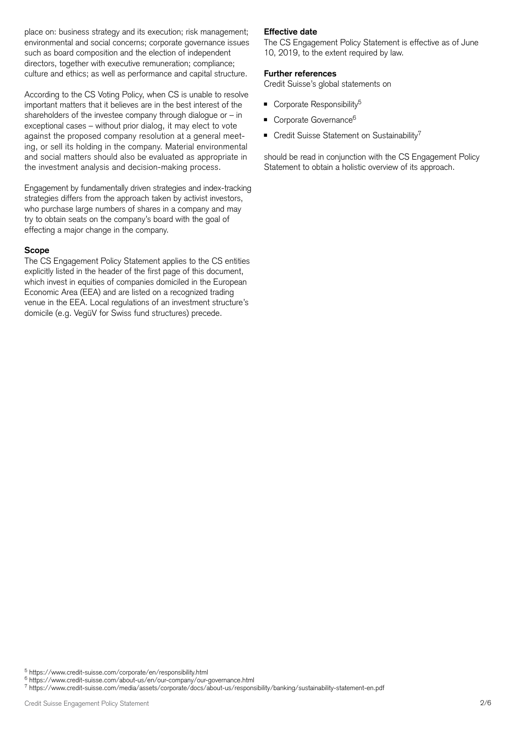place on: business strategy and its execution; risk management; environmental and social concerns; corporate governance issues such as board composition and the election of independent directors, together with executive remuneration; compliance; culture and ethics; as well as performance and capital structure.

 exceptional cases – without prior dialog, it may elect to vote According to the CS Voting Policy, when CS is unable to resolve important matters that it believes are in the best interest of the shareholders of the investee company through dialogue or  $-$  in against the proposed company resolution at a general meeting, or sell its holding in the company. Material environmental and social matters should also be evaluated as appropriate in the investment analysis and decision-making process.

Engagement by fundamentally driven strategies and index-tracking strategies differs from the approach taken by activist investors, who purchase large numbers of shares in a company and may try to obtain seats on the company's board with the goal of effecting a major change in the company.

#### **Scope**

The CS Engagement Policy Statement applies to the CS entities explicitly listed in the header of the first page of this document, which invest in equities of companies domiciled in the European Economic Area (EEA) and are listed on a recognized trading venue in the EEA. Local regulations of an investment structure's domicile (e.g. VegüV for Swiss fund structures) precede.

#### **Effective date**

The CS Engagement Policy Statement is effective as of June 10, 2019, to the extent required by law.

### **Further references**

Credit Suisse's global statements on

- $\blacksquare$  Corporate Responsibility<sup>5</sup>
- Corporate Governance<sup>6</sup>
- $\blacksquare$  Credit Suisse Statement on Sustainability<sup>7</sup>

should be read in conjunction with the CS Engagement Policy Statement to obtain a holistic overview of its approach.

5 <https://www.credit-suisse.com/corporate/en/responsibility.html>

6 <https://www.credit-suisse.com/about-us/en/our-company/our-governance.html>

7 <https://www.credit-suisse.com/media/assets/corporate/docs/about-us/responsibility/banking/sustainability-statement-en.pdf>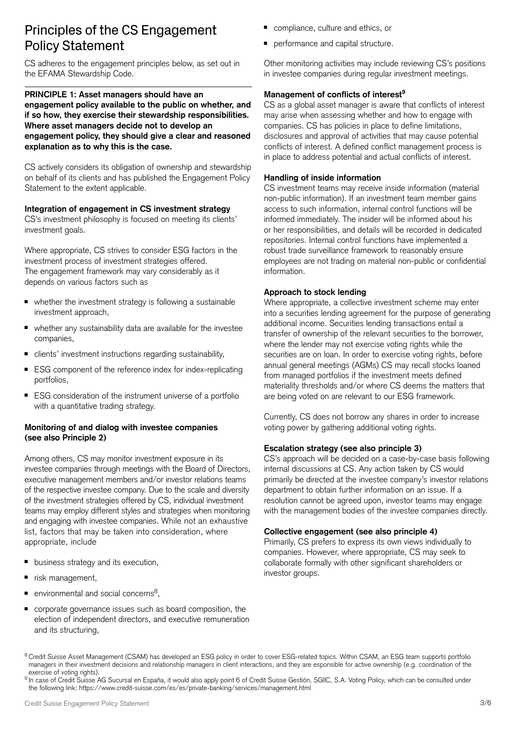# Principles of the CS Engagement **CALC Engagement Principles of the CS Engagement** Policy Statement **Policy** Statement

CS adheres to the engagement principles below, as set out in the EFAMA Stewardship Code.

#### **PRINCIPLE 1: Asset managers should have an engagement policy available to the public on whether, and if so how, they exercise their stewardship responsibilities. Where asset managers decide not to develop an engagement policy, they should give a clear and reasoned explanation as to why this is the case.**

CS actively considers its obligation of ownership and stewardship on behalf of its clients and has published the Engagement Policy Statement to the extent applicable.

#### **Integration of engagement in CS investment strategy**

CS's investment philosophy is focused on meeting its clients' investment goals.

Where appropriate, CS strives to consider ESG factors in the investment process of investment strategies offered. The engagement framework may vary considerably as it depends on various factors such as

- whether the investment strategy is following a sustainable investment approach,
- whether any sustainability data are available for the investee companies,
- clients' investment instructions regarding sustainability,
- ESG component of the reference index for index-replicating portfolios,
- ESG consideration of the instrument universe of a portfolio with a quantitative trading strategy.

#### **Monitoring of and dialog with investee companies (see also Principle 2)**

 and engaging with investee companies. While not an exhaustive Among others, CS may monitor investment exposure in its investee companies through meetings with the Board of Directors, executive management members and/or investor relations teams of the respective investee company. Due to the scale and diversity of the investment strategies offered by CS, individual investment teams may employ different styles and strategies when monitoring list, factors that may be taken into consideration, where appropriate, include

- business strategy and its execution,
- risk management,
- $\blacksquare$  environmental and social concerns<sup>8</sup>.
- corporate governance issues such as board composition, the election of independent directors, and executive remuneration and its structuring,
- 
- 

Other monitoring activities may include reviewing CS's positions in investee companies during regular investment meetings.

## **Management of conflicts of interest9**

CS as a global asset manager is aware that conflicts of interest may arise when assessing whether and how to engage with companies. CS has policies in place to define limitations, disclosures and approval of activities that may cause potential conflicts of interest. A defined conflict management process is in place to address potential and actual conflicts of interest.

## **Handling of inside information**

CS investment teams may receive inside information (material non-public information). If an investment team member gains access to such information, internal control functions will be informed immediately. The insider will be informed about his or her responsibilities, and details will be recorded in dedicated repositories. Internal control functions have implemented a robust trade surveillance framework to reasonably ensure employees are not trading on material non-public or confidential information.

#### **Approach to stock lending**

Where appropriate, a collective investment scheme may enter into a securities lending agreement for the purpose of generating additional income. Securities lending transactions entail a transfer of ownership of the relevant securities to the borrower, where the lender may not exercise voting rights while the securities are on loan. In order to exercise voting rights, before annual general meetings (AGMs) CS may recall stocks loaned from managed portfolios if the investment meets defined materiality thresholds and/or where CS deems the matters that are being voted on are relevant to our ESG framework.

Currently, CS does not borrow any shares in order to increase voting power by gathering additional voting rights.

#### **Escalation strategy (see also [principle 3](#page-3-0))**

CS's approach will be decided on a case-by-case basis following internal discussions at CS. Any action taken by CS would primarily be directed at the investee company's investor relations department to obtain further information on an issue. If a resolution cannot be agreed upon, investor teams may engage with the management bodies of the investee companies directly.

#### **Collective engagement (see also [principle 4](#page-3-1))**

Primarily, CS prefers to express its own views individually to companies. However, where appropriate, CS may seek to collaborate formally with other significant shareholders or investor groups.

<sup>8</sup> Credit Suisse Asset Management (CSAM) has developed an ESG policy in order to cover ESG-related topics. Within CSAM, an ESG team supports portfolio managers in their investment decisions and relationship managers in client interactions, and they are esponsible for active ownership (e.g. coordination of the exercise of voting rights).

<sup>9</sup> In case of Credit Suisse AG Sucursal en España, it would also apply point 6 of Credit Suisse Gestión, SGIIC, S.A. Voting Policy, which can be consulted under the following link:<https://www.credit-suisse.com/es/es/private-banking/services/management.html>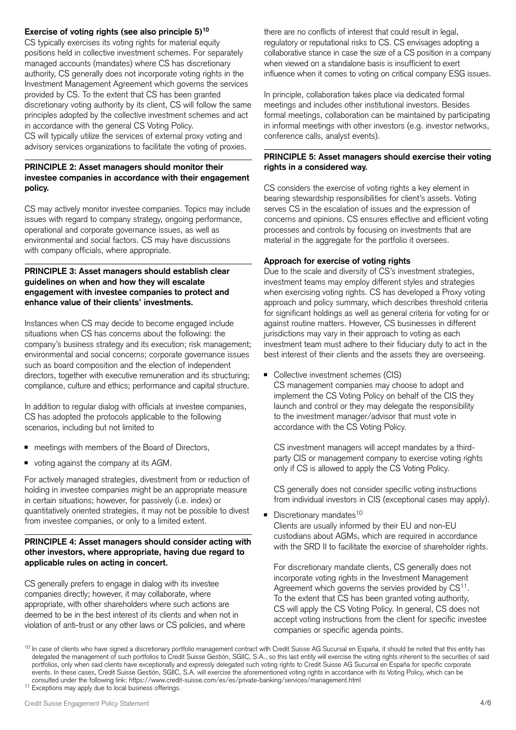### **Exercise of voting rights (see also [principle 5\)](#page-3-2)10**

CS typically exercises its voting rights for material equity positions held in collective investment schemes. For separately managed accounts (mandates) where CS has discretionary authority, CS generally does not incorporate voting rights in the Investment Management Agreement which governs the services provided by CS. To the extent that CS has been granted discretionary voting authority by its client, CS will follow the same principles adopted by the collective investment schemes and act in accordance with the general CS Voting Policy.

CS will typically utilize the services of external proxy voting and advisory services organizations to facilitate the voting of proxies.

#### **PRINCIPLE 2: Asset managers should monitor their investee companies in accordance with their engagement policy.**

CS may actively monitor investee companies. Topics may include issues with regard to company strategy, ongoing performance, operational and corporate governance issues, as well as environmental and social factors. CS may have discussions with company officials, where appropriate.

#### <span id="page-3-0"></span>**PRINCIPLE 3: Asset managers should establish clear guidelines on when and how they will escalate engagement with investee companies to protect and enhance value of their clients' investments.**

Instances when CS may decide to become engaged include situations when CS has concerns about the following: the company's business strategy and its execution; risk management; environmental and social concerns; corporate governance issues such as board composition and the election of independent directors, together with executive remuneration and its structuring; compliance, culture and ethics; performance and capital structure.

In addition to regular dialog with officials at investee companies, CS has adopted the protocols applicable to the following scenarios, including but not limited to

- meetings with members of the Board of Directors,
- voting against the company at its AGM.

For actively managed strategies, divestment from or reduction of holding in investee companies might be an appropriate measure in certain situations; however, for passively (i.e. index) or quantitatively oriented strategies, it may not be possible to divest from investee companies, or only to a limited extent.

#### <span id="page-3-1"></span>**PRINCIPLE 4: Asset managers should consider acting with other investors, where appropriate, having due regard to applicable rules on acting in concert.**

CS generally prefers to engage in dialog with its investee companies directly; however, it may collaborate, where appropriate, with other shareholders where such actions are deemed to be in the best interest of its clients and when not in violation of anti-trust or any other laws or CS policies, and where there are no conflicts of interest that could result in legal, regulatory or reputational risks to CS. CS envisages adopting a collaborative stance in case the size of a CS position in a company when viewed on a standalone basis is insufficient to exert influence when it comes to voting on critical company ESG issues.

In principle, collaboration takes place via dedicated formal meetings and includes other institutional investors. Besides formal meetings, collaboration can be maintained by participating in informal meetings with other investors (e.g. investor networks, conference calls, analyst events).

#### <span id="page-3-2"></span>**PRINCIPLE 5: Asset managers should exercise their voting rights in a considered way.**

CS considers the exercise of voting rights a key element in bearing stewardship responsibilities for client's assets. Voting serves CS in the escalation of issues and the expression of concerns and opinions. CS ensures effective and efficient voting processes and controls by focusing on investments that are material in the aggregate for the portfolio it oversees.

#### **Approach for exercise of voting rights**

Due to the scale and diversity of CS's investment strategies, investment teams may employ different styles and strategies when exercising voting rights. CS has developed a Proxy voting approach and policy summary, which describes threshold criteria for significant holdings as well as general criteria for voting for or against routine matters. However, CS businesses in different jurisdictions may vary in their approach to voting as each investment team must adhere to their fiduciary duty to act in the best interest of their clients and the assets they are overseeing.

■ Collective investment schemes (CIS)

CS management companies may choose to adopt and implement the CS Voting Policy on behalf of the CIS they launch and control or they may delegate the responsibility to the investment manager/advisor that must vote in accordance with the CS Voting Policy.

CS investment managers will accept mandates by a thirdparty CIS or management company to exercise voting rights only if CS is allowed to apply the CS Voting Policy.

CS generally does not consider specific voting instructions from individual investors in CIS (exceptional cases may apply).

■ Discretionary mandates<sup>10</sup> Clients are usually informed by their EU and non-EU custodians about AGMs, which are required in accordance with the SRD II to facilitate the exercise of shareholder rights.

For discretionary mandate clients, CS generally does not incorporate voting rights in the Investment Management Agreement which governs the servies provided by  $CS<sup>11</sup>$ . To the extent that CS has been granted voting authority, CS will apply the CS Voting Policy. In general, CS does not accept voting instructions from the client for specific investee companies or specific agenda points.

<sup>&</sup>lt;sup>10</sup> In case of clients who have signed a discretionary portfolio management contract with Credit Suisse AG Sucursal en España, it should be noted that this entity has delegated the management of such portfolios to Credit Suisse Gestión, SGIIC, S.A., so this last entity will exercise the voting rights inherent to the securities of said portfolios, only when said clients have exceptionally and expressly delegated such voting rights to Credit Suisse AG Sucursal en España for specific corporate events. In these cases, Credit Suisse Gestión, SGIIC, S.A. will exercise the aforementioned voting rights in accordance with its Voting Policy, which can be consulted under the following link: <https://www.credit-suisse.com/es/es/private-banking/services/management.html> 11 Exceptions may apply due to local business offerings.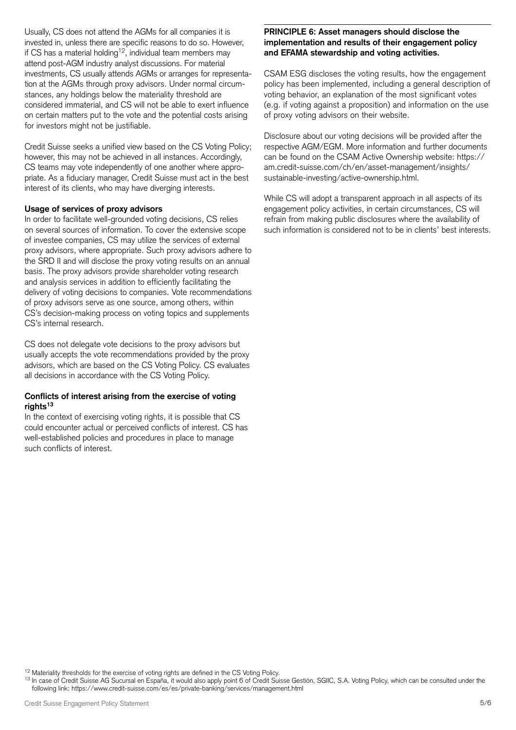Usually, CS does not attend the AGMs for all companies it is **PRINCIPLE 6: Asset managers should disclose the**  invested in, unless there are specific reasons to do so. However, If  $\frac{1}{2}$  is the contract of the contract of the contract of the contract of the contract of the contract of the contract of the contract of the contract of the contract of the contract of the contract of the contract attend post-AGM industry analyst discussions. For material investments, CS usually attends AGMs or arranges for representation at the AGMs through proxy advisors. Under normal circumstances, any holdings below the materiality threshold are considered immaterial, and CS will not be able to exert influence on certain matters put to the vote and the potential costs arising for investors might not be justifiable.

Credit Suisse seeks a unified view based on the CS Voting Policy; however, this may not be achieved in all instances. Accordingly, CS teams may vote independently of one another where appropriate. As a fiduciary manager, Credit Suisse must act in the best interest of its clients, who may have diverging interests.

#### **Usage of services of proxy advisors**

In order to facilitate well-grounded voting decisions, CS relies on several sources of information. To cover the extensive scope of investee companies, CS may utilize the services of external proxy advisors, where appropriate. Such proxy advisors adhere to the SRD II and will disclose the proxy voting results on an annual basis. The proxy advisors provide shareholder voting research and analysis services in addition to efficiently facilitating the delivery of voting decisions to companies. Vote recommendations of proxy advisors serve as one source, among others, within CS's decision-making process on voting topics and supplements CS's internal research.

CS does not delegate vote decisions to the proxy advisors but usually accepts the vote recommendations provided by the proxy advisors, which are based on the CS Voting Policy. CS evaluates all decisions in accordance with the CS Voting Policy.

#### **Conflicts of interest arising from the exercise of voting**  rights<sup>13</sup>

In the context of exercising voting rights, it is possible that CS could encounter actual or perceived conflicts of interest. CS has well-established policies and procedures in place to manage such conflicts of interest.

# **implementation and results of their engagement policy and EFAMA stewardship and voting activities.**

CSAM ESG discloses the voting results, how the engagement policy has been implemented, including a general description of voting behavior, an explanation of the most significant votes (e.g. if voting against a proposition) and information on the use of proxy voting advisors on their website.

Disclosure about our voting decisions will be provided after the respective AGM/EGM. More information and further documents can be found on the CSAM Active Ownership website: [https://](https://am.credit-suisse.com/ch/en/asset-management/insights/sustainable-investing/active-ownership.html) [am.credit-suisse.com/ch/en/asset-management/insights/](https://am.credit-suisse.com/ch/en/asset-management/insights/sustainable-investing/active-ownership.html) [sustainable-investing/active-ownership.html](https://am.credit-suisse.com/ch/en/asset-management/insights/sustainable-investing/active-ownership.html).

While CS will adopt a transparent approach in all aspects of its engagement policy activities, in certain circumstances, CS will refrain from making public disclosures where the availability of such information is considered not to be in clients' best interests.

<sup>&</sup>lt;sup>12</sup> Materiality thresholds for the exercise of voting rights are defined in the CS Voting Policy.<br><sup>13</sup> In case of Credit Suisse AG Sucursal en España, it would also apply point 6 of Credit Suisse Gestión, SGIIC, S.A. Voti following link: <https://www.credit-suisse.com/es/es/private-banking/services/management.html>